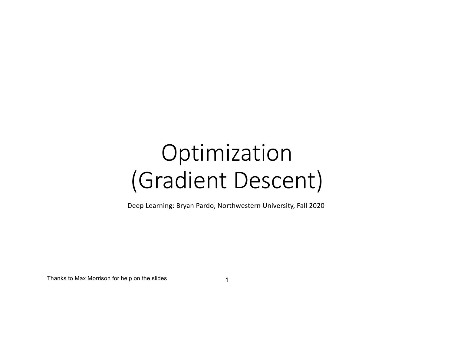# Optimization (Gradient Descent)

Deep Learning: Bryan Pardo, Northwestern University, Fall 2020

Thanks to Max Morrison for help on the slides

1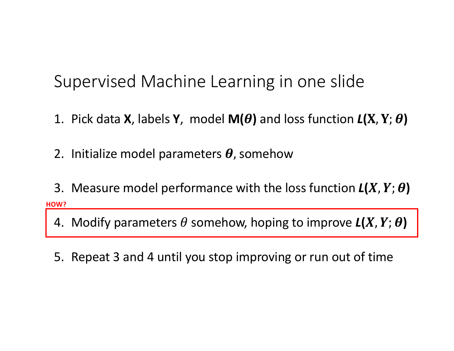## Supervised Machine Learning in one slide

- 1. Pick data **X**, labels **Y**, model **M(** $\theta$ **)** and loss function  $L(X, Y; \theta)$
- 2. Initialize model parameters  $\boldsymbol{\theta}$ , somehow
- 3. Measure model performance with the loss function  $L(X, Y; \theta)$ **HOW?**
	- 4. Modify parameters  $\theta$  somehow, hoping to improve  $L(X, Y; \theta)$
	- 5. Repeat 3 and 4 until you stop improving or run out of time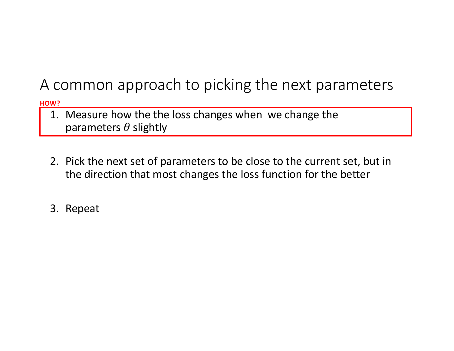### A common approach to picking the next parameters

**HOW?**

- 1. Measure how the the loss changes when we change the parameters  $\theta$  slightly
- 2. Pick the next set of parameters to be close to the current set, but in the direction that most changes the loss function for the better
- 3. Repeat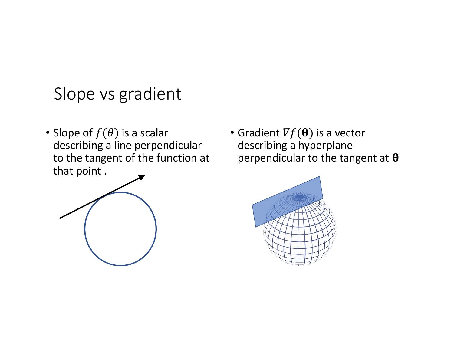## Slope vs gradient

• Slope of  $f(\theta)$  is a scalar describing a line perpendicular to the tangent of the function at that point .



• Gradient  $\nabla f(\mathbf{\theta})$  is a vector describing a hyperplane perpendicular to the tangent at  $\theta$ 

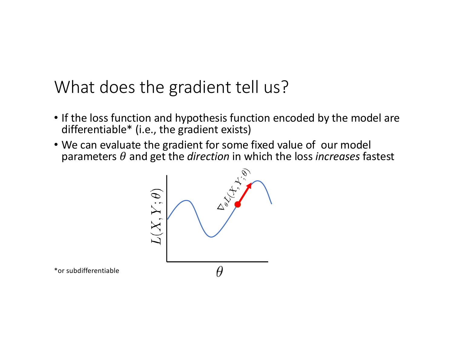## What does the gradient tell us?

- If the loss function and hypothesis function encoded by the model are differentiable\* (i.e., the gradient exists)
- We can evaluate the gradient for some fixed value of our model parameters  $\theta$  and get the *direction* in which the loss *increases* fastest



\*or subdifferentiable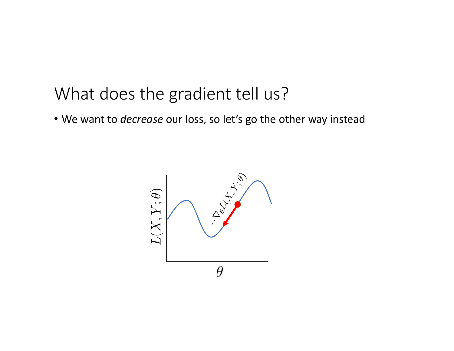### What does the gradient tell us?

• We want to *decrease* our loss, so let's go the other way instead

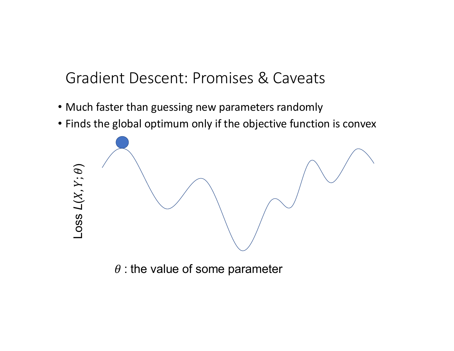### Gradient Descent: Promises & Caveats

- Much faster than guessing new parameters randomly
- Finds the global optimum only if the objective function is convex



 $\theta$  : the value of some parameter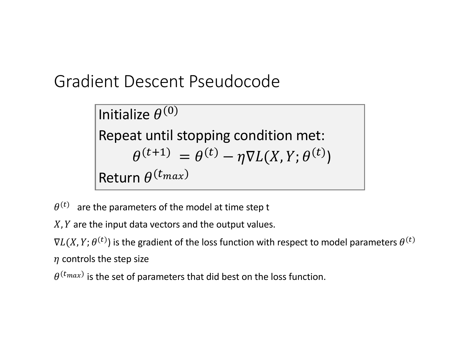Gradient Descent Pseudocode

Initialize  $\theta^{(0)}$ Repeat until stopping condition met:  $\theta^{(t+1)} = \theta^{(t)} - \eta \nabla L(X, Y; \theta^{(t)})$ Return  $\theta^{(t_{max})}$ 

 $\theta^{(t)}$  are the parameters of the model at time step t

 $X, Y$  are the input data vectors and the output values.

 $\nabla L(X,Y; \theta^{(t)})$  is the gradient of the loss function with respect to model parameters  $\theta^{(t)}$  $\eta$  controls the step size

 $\theta^{(t_{max})}$  is the set of parameters that did best on the loss function.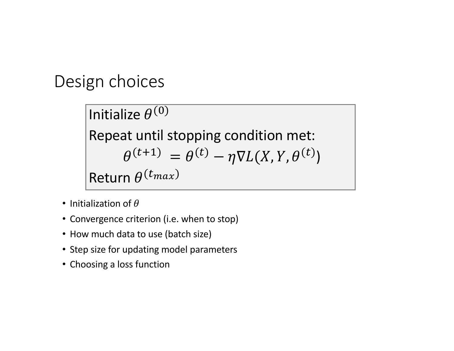### Design choices

Initialize  $\theta^{(0)}$ Repeat until stopping condition met:  $\theta^{(t+1)} = \theta^{(t)} - \eta \nabla L(X, Y, \theta^{(t)})$ Return  $\theta^{(t_{max})}$ 

- Initialization of  $\theta$
- Convergence criterion (i.e. when to stop)
- How much data to use (batch size)
- Step size for updating model parameters
- Choosing a loss function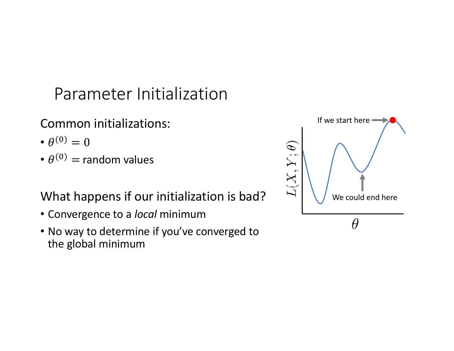# Parameter Initialization

### Common initializations:

- $\theta^{(0)} = 0$
- $\cdot \theta^{(0)}$  = random values

### What happens if our initialization is bad?

- Convergence to a *local* minimum
- No way to determine if you've converged to the global minimum

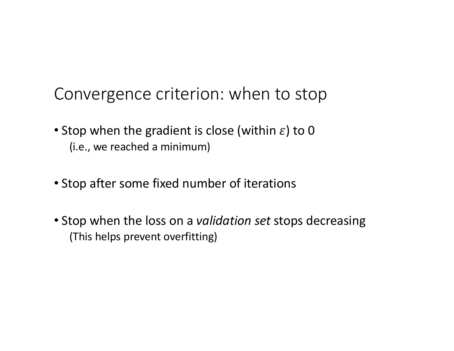### Convergence criterion: when to stop

- Stop when the gradient is close (within  $\varepsilon$ ) to 0 (i.e., we reached a minimum)
- Stop after some fixed number of iterations
- Stop when the loss on a *validation set* stops decreasing (This helps prevent overfitting)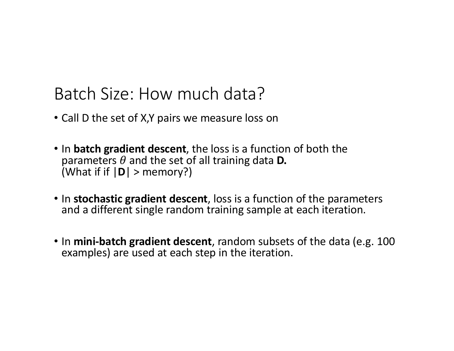# Batch Size: How much data?

- Call D the set of X,Y pairs we measure loss on
- In **batch gradient descent**, the loss is a function of both the parameters  $\theta$  and the set of all training data **D.** (What if if |**D**| > memory?)
- In **stochastic gradient descent**, loss is a function of the parameters and a different single random training sample at each iteration.
- In **mini-batch gradient descent**, random subsets of the data (e.g. 100 examples) are used at each step in the iteration.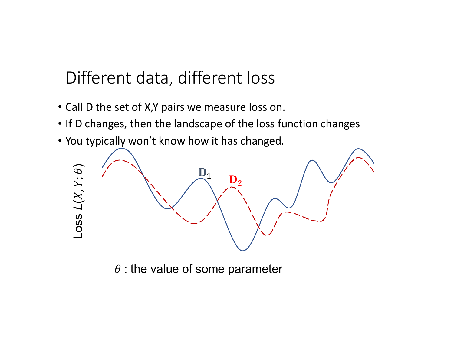Different data, different loss

- Call D the set of X,Y pairs we measure loss on.
- If D changes, then the landscape of the loss function changes
- You typically won't know how it has changed.



 $\theta$  : the value of some parameter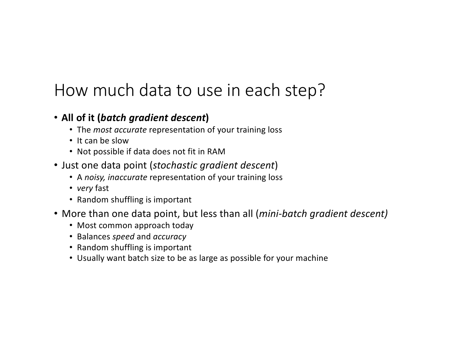### How much data to use in each step?

#### • **All of it (***batch gradient descent***)**

- The *most accurate* representation of your training loss
- It can be slow
- Not possible if data does not fit in RAM
- Just one data point (*stochastic gradient descent*)
	- A *noisy, inaccurate* representation of your training loss
	- *very* fast
	- Random shuffling is important
- More than one data point, but less than all (*mini-batch gradient descent)*
	- Most common approach today
	- Balances *speed* and *accuracy*
	- Random shuffling is important
	- Usually want batch size to be as large as possible for your machine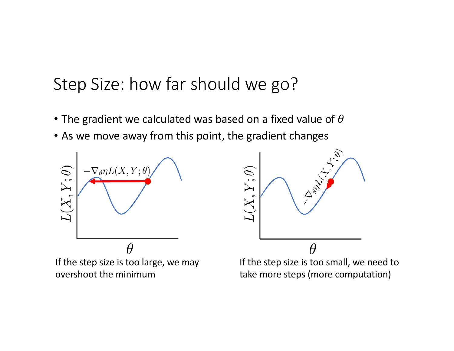## Step Size: how far should we go?

- The gradient we calculated was based on a fixed value of  $\theta$
- As we move away from this point, the gradient changes



If the step size is too large, we may overshoot the minimum



If the step size is too small, we need to take more steps (more computation)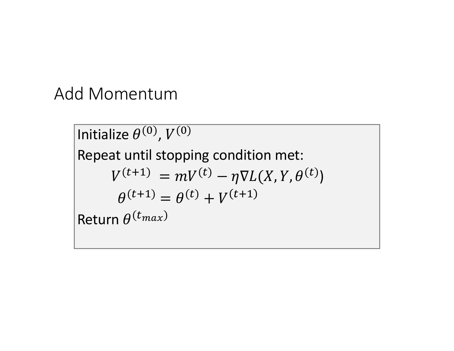### Add Momentum

Initialize  $\theta^{(0)}$ ,  $V^{(0)}$ Repeat until stopping condition met:  $V^{(t+1)} = mV^{(t)} - \eta \nabla L(X, Y, \theta^{(t)})$  $\theta^{(t+1)} = \theta^{(t)} + V^{(t+1)}$ Return  $\theta^{(t_{max})}$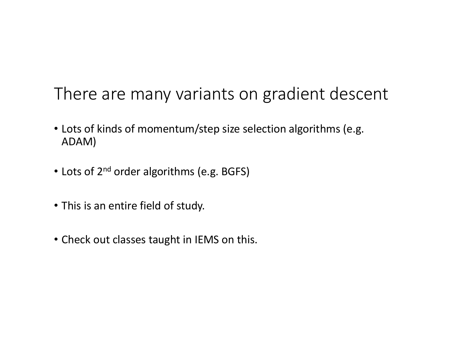# There are many variants on gradient descent

- Lots of kinds of momentum/step size selection algorithms (e.g. ADAM)
- Lots of 2<sup>nd</sup> order algorithms (e.g. BGFS)
- This is an entire field of study.
- Check out classes taught in IEMS on this.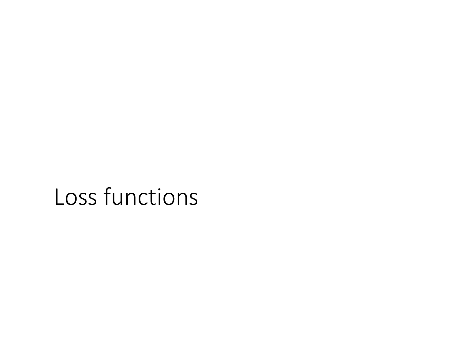# Loss functions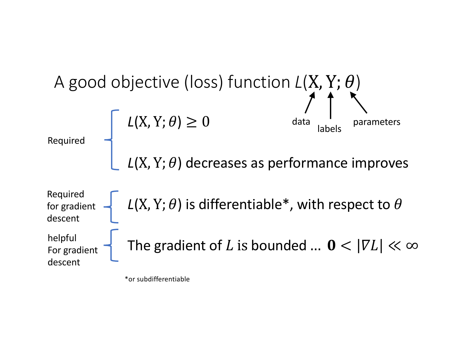

\*or subdifferentiable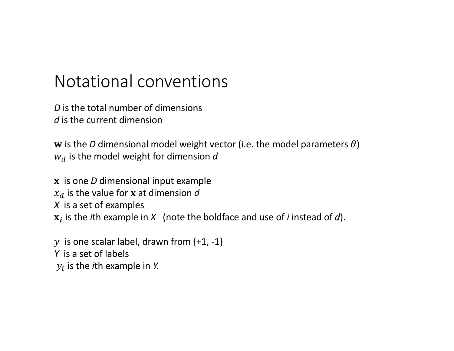### Notational conventions

*D* is the total number of dimensions d is the current dimension

w is the *D* dimensional model weight vector (i.e. the model parameters  $\theta$ )  $w_d$  is the model weight for dimension  $d$ 

 is one *D* dimensional input example  $x_d$  is the value for **x** at dimension  $d$ *X* is a set of examples  $x_i$  is the *i*th example in *X* (note the boldface and use of *i* instead of *d*).

 $y$  is one scalar label, drawn from  $\{+1, -1\}$ *Y* is a set of labels  $y_i$  is the *i*th example in *Y*.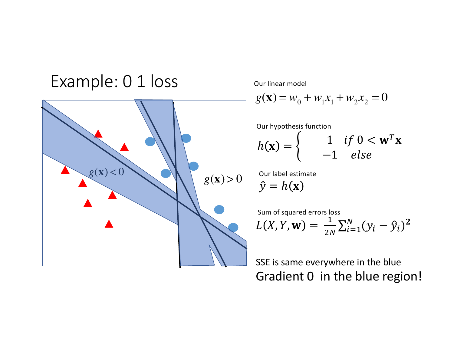### Example: 0 1 loss



Our linear model

$$
g(\mathbf{x}) = w_0 + w_1 x_1 + w_2 x_2 = 0
$$

Our hypothesis function

$$
h(\mathbf{x}) = \begin{cases} 1 & \text{if } 0 < \mathbf{w}^T \mathbf{x} \\ -1 & \text{else} \end{cases}
$$

Our label estimate

 $\hat{y} = h(\mathbf{x})$ 

Sum of squared errors loss

$$
L(X, Y, \mathbf{w}) = \frac{1}{2N} \sum_{i=1}^{N} (y_i - \hat{y}_i)^2
$$

SSE is same everywhere in the blue Gradient 0 in the blue region!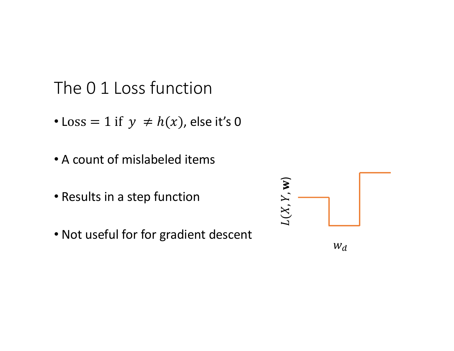### The 0 1 Loss function

- Loss = 1 if  $y \neq h(x)$ , else it's 0
- A count of mislabeled items
- Results in a step function
- Not useful for for gradient descent

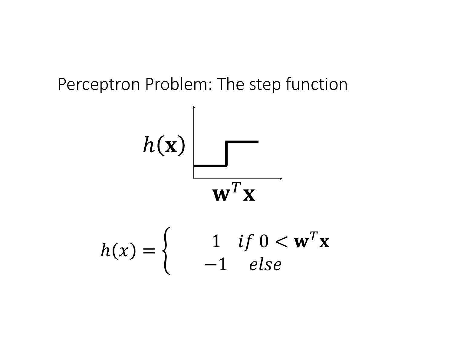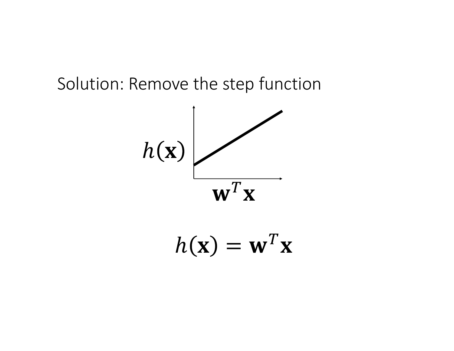### Solution: Remove the step function



$$
h(\mathbf{x}) = \mathbf{w}^T \mathbf{x}
$$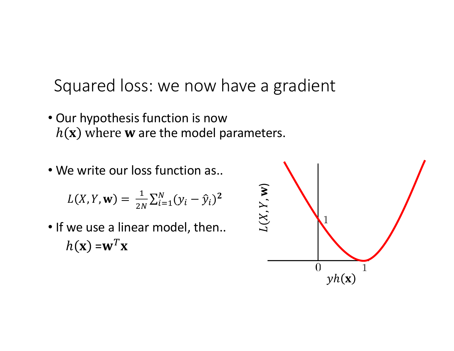Squared loss: we now have a gradient

- . Our hypothesis function is now  $h(\mathbf{x})$  where **w** are the model parameters.
- . We write our loss function as..

$$
L(X, Y, \mathbf{w}) = \frac{1}{2N} \sum_{i=1}^{N} (y_i - \hat{y}_i)^2
$$

. If we use a linear model, then..  $h(\mathbf{x}) = \mathbf{w}^T \mathbf{x}$ 

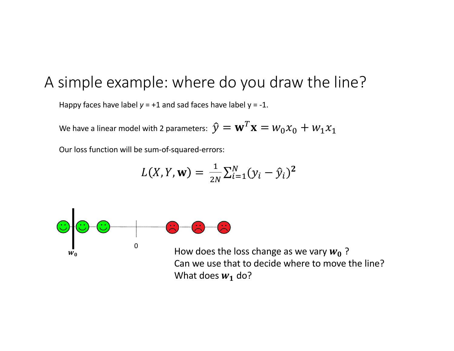### A simple example: where do you draw the line?

Happy faces have label  $y = +1$  and sad faces have label  $y = -1$ .

We have a linear model with 2 parameters:  $\hat{y} = \mathbf{w}^T \mathbf{x} = w_0 x_0 + w_1 x_1$ 

Our loss function will be sum-of-squared-errors:

$$
L(X, Y, \mathbf{w}) = \frac{1}{2N} \sum_{i=1}^{N} (y_i - \hat{y}_i)^2
$$



Can we use that to decide where to move the line? What does  $w_1$  do?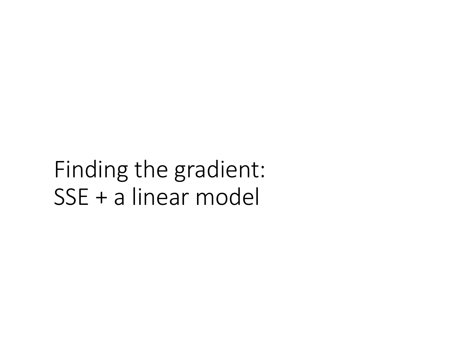Finding the gradient: SSE + a linear model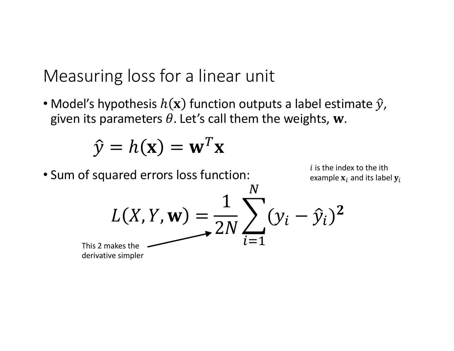Measuring loss for a linear unit

• Model's hypothesis  $h(\mathbf{x})$  function outputs a label estimate  $\hat{y}$ , given its parameters  $\theta$ . Let's call them the weights, w.

$$
\hat{y} = h(\mathbf{x}) = \mathbf{w}^T \mathbf{x}
$$

• Sum of squared errors loss function:

 $i$  is the index to the ith example  $\mathbf{x}_i$  and its label  $\mathbf{y}_i$ 

$$
L(X, Y, \mathbf{w}) = \frac{1}{2N} \sum_{i=1}^{N} (y_i - \hat{y}_i)^2
$$
<sup>s2 makes the</sup>

**This** derivative simpler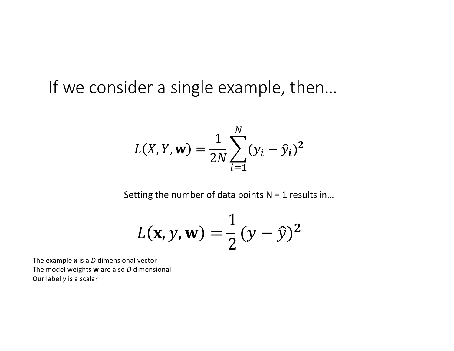If we consider a single example, then…

$$
L(X, Y, \mathbf{w}) = \frac{1}{2N} \sum_{i=1}^{N} (y_i - \hat{y}_i)^2
$$

Setting the number of data points  $N = 1$  results in...

$$
L(\mathbf{x}, y, \mathbf{w}) = \frac{1}{2} (y - \hat{y})^2
$$

The example **x** is a *D* dimensional vector The model weights **w** are also *D* dimensional Our label *y* is a scalar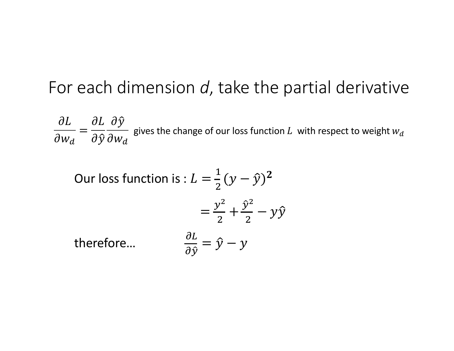### For each dimension d, take the partial derivative

 $\frac{\partial L}{\partial w_d} = \frac{\partial L}{\partial \hat{y}} \frac{\partial \hat{y}}{\partial w_d}$  gives the change of our loss function L with respect to weight  $w_d$ 

Our loss function is : 
$$
L = \frac{1}{2}(y - \hat{y})^2
$$
  
\n
$$
= \frac{y^2}{2} + \frac{\hat{y}^2}{2} - y\hat{y}
$$
\ntherefore.  
\n
$$
\frac{\partial L}{\partial \hat{y}} = \hat{y} - y
$$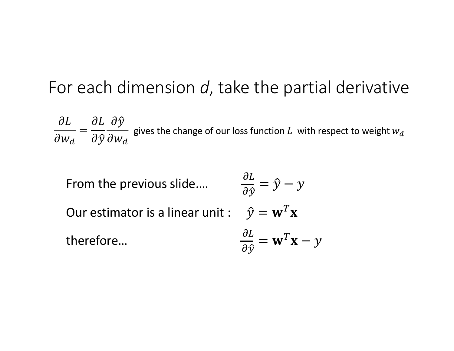### For each dimension *d*, take the partial derivative

 $\partial L$  $\partial w_d$ =  $\partial L$  $\partial \hat{y}$  $\partial \hat{y}$  $\partial w_d$ gives the change of our loss function  $L$  with respect to weight  $w_d$ 

From the previous slide....  $\frac{\partial L}{\partial \hat{\mathbf{v}}}$  $\frac{\partial L}{\partial \hat{y}} = \hat{y} - y$ Our estimator is a linear unit :  $\hat{y} = \mathbf{w}^T \mathbf{x}$ therefore...  $\frac{\partial L}{\partial \hat{v}} = \mathbf{w}^T \mathbf{x} - y$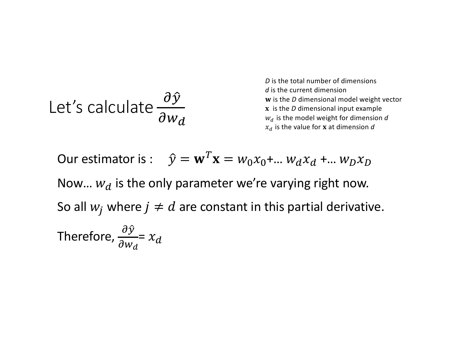Let's calculate 
$$
\frac{\partial \hat{y}}{\partial w_d}
$$

*D* is the total number of dimensions *d* is the current dimension w is the *D* dimensional model weight vector x is the *D* dimensional input example  $w_d$  is the model weight for dimension  $d$  $x_d$  is the value for **x** at dimension  $d$ 

Our estimator is: 
$$
\hat{y} = \mathbf{w}^T \mathbf{x} = w_0 x_0 + ... w_d x_d + ... w_D x_D
$$
  
\nNow...  $w_d$  is the only parameter we're varying right now.  
\nSo all  $w_j$  where  $j \neq d$  are constant in this partial derivative.  
\nTherefore,  $\frac{\partial \hat{y}}{\partial w_d} = x_d$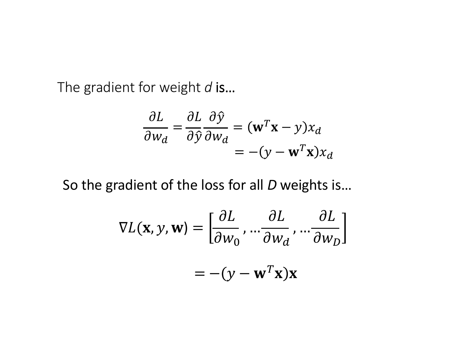The gradient for weight d is...

$$
\frac{\partial L}{\partial w_d} = \frac{\partial L}{\partial \hat{y}} \frac{\partial \hat{y}}{\partial w_d} = (\mathbf{w}^T \mathbf{x} - y) x_d
$$

$$
= -(y - \mathbf{w}^T \mathbf{x}) x_d
$$

So the gradient of the loss for all D weights is...

$$
\nabla L(\mathbf{x}, y, \mathbf{w}) = \left[ \frac{\partial L}{\partial w_0}, \dots \frac{\partial L}{\partial w_d}, \dots \frac{\partial L}{\partial w_D} \right]
$$

$$
= -(y - \mathbf{w}^T \mathbf{x}) \mathbf{x}
$$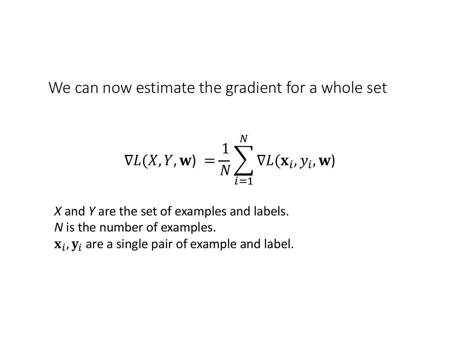We can now estimate the gradient for a whole set

$$
\nabla L(X, Y, \mathbf{w}) = \frac{1}{N} \sum_{i=1}^{N} \nabla L(\mathbf{x}_i, y_i, \mathbf{w})
$$

*X* and *Y* are the set of examples and labels. *N* is the number of examples.  $\mathbf{x}_i$ ,  $\mathbf{y}_i$  are a single pair of example and label.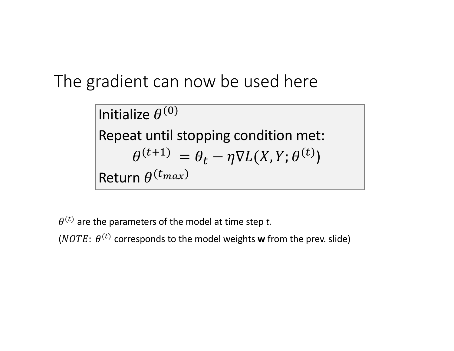The gradient can now be used here

Initialize  $\theta^{(0)}$ Repeat until stopping condition met:  $\theta^{(t+1)} = \theta_t - \eta \nabla L(X, Y; \theta^{(t)})$ Return  $\theta^{(t_{max})}$ 

 $(\theta^{(t)})$  are the parameters of the model at time step *t*.

(*NOTE*:  $\theta^{(t)}$  corresponds to the model weights **w** from the prev. slide)